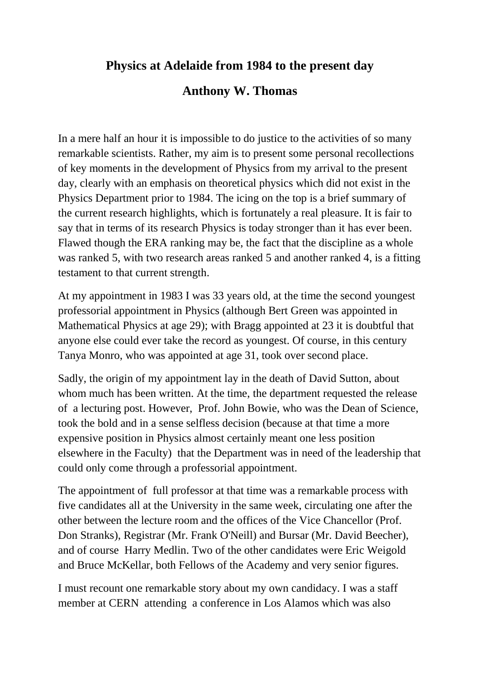## **Physics at Adelaide from 1984 to the present day**

## **Anthony W. Thomas**

In a mere half an hour it is impossible to do justice to the activities of so many remarkable scientists. Rather, my aim is to present some personal recollections of key moments in the development of Physics from my arrival to the present day, clearly with an emphasis on theoretical physics which did not exist in the Physics Department prior to 1984. The icing on the top is a brief summary of the current research highlights, which is fortunately a real pleasure. It is fair to say that in terms of its research Physics is today stronger than it has ever been. Flawed though the ERA ranking may be, the fact that the discipline as a whole was ranked 5, with two research areas ranked 5 and another ranked 4, is a fitting testament to that current strength.

At my appointment in 1983 I was 33 years old, at the time the second youngest professorial appointment in Physics (although Bert Green was appointed in Mathematical Physics at age 29); with Bragg appointed at 23 it is doubtful that anyone else could ever take the record as youngest. Of course, in this century Tanya Monro, who was appointed at age 31, took over second place.

Sadly, the origin of my appointment lay in the death of David Sutton, about whom much has been written. At the time, the department requested the release of a lecturing post. However, Prof. John Bowie, who was the Dean of Science, took the bold and in a sense selfless decision (because at that time a more expensive position in Physics almost certainly meant one less position elsewhere in the Faculty) that the Department was in need of the leadership that could only come through a professorial appointment.

The appointment of full professor at that time was a remarkable process with five candidates all at the University in the same week, circulating one after the other between the lecture room and the offices of the Vice Chancellor (Prof. Don Stranks), Registrar (Mr. Frank O'Neill) and Bursar (Mr. David Beecher), and of course Harry Medlin. Two of the other candidates were Eric Weigold and Bruce McKellar, both Fellows of the Academy and very senior figures.

I must recount one remarkable story about my own candidacy. I was a staff member at CERN attending a conference in Los Alamos which was also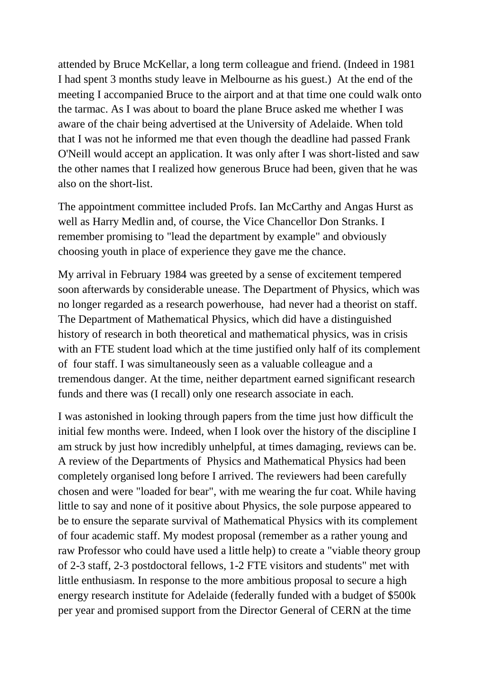attended by Bruce McKellar, a long term colleague and friend. (Indeed in 1981 I had spent 3 months study leave in Melbourne as his guest.) At the end of the meeting I accompanied Bruce to the airport and at that time one could walk onto the tarmac. As I was about to board the plane Bruce asked me whether I was aware of the chair being advertised at the University of Adelaide. When told that I was not he informed me that even though the deadline had passed Frank O'Neill would accept an application. It was only after I was short-listed and saw the other names that I realized how generous Bruce had been, given that he was also on the short-list.

The appointment committee included Profs. Ian McCarthy and Angas Hurst as well as Harry Medlin and, of course, the Vice Chancellor Don Stranks. I remember promising to "lead the department by example" and obviously choosing youth in place of experience they gave me the chance.

My arrival in February 1984 was greeted by a sense of excitement tempered soon afterwards by considerable unease. The Department of Physics, which was no longer regarded as a research powerhouse, had never had a theorist on staff. The Department of Mathematical Physics, which did have a distinguished history of research in both theoretical and mathematical physics, was in crisis with an FTE student load which at the time justified only half of its complement of four staff. I was simultaneously seen as a valuable colleague and a tremendous danger. At the time, neither department earned significant research funds and there was (I recall) only one research associate in each.

I was astonished in looking through papers from the time just how difficult the initial few months were. Indeed, when I look over the history of the discipline I am struck by just how incredibly unhelpful, at times damaging, reviews can be. A review of the Departments of Physics and Mathematical Physics had been completely organised long before I arrived. The reviewers had been carefully chosen and were "loaded for bear", with me wearing the fur coat. While having little to say and none of it positive about Physics, the sole purpose appeared to be to ensure the separate survival of Mathematical Physics with its complement of four academic staff. My modest proposal (remember as a rather young and raw Professor who could have used a little help) to create a "viable theory group of 2-3 staff, 2-3 postdoctoral fellows, 1-2 FTE visitors and students" met with little enthusiasm. In response to the more ambitious proposal to secure a high energy research institute for Adelaide (federally funded with a budget of \$500k per year and promised support from the Director General of CERN at the time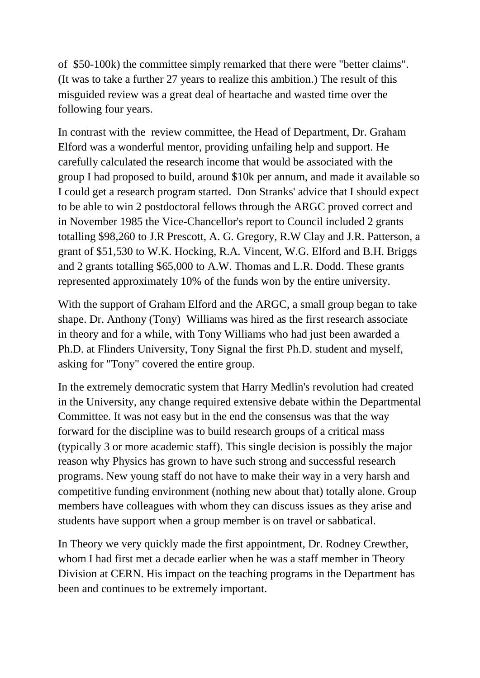of \$50-100k) the committee simply remarked that there were "better claims". (It was to take a further 27 years to realize this ambition.) The result of this misguided review was a great deal of heartache and wasted time over the following four years.

In contrast with the review committee, the Head of Department, Dr. Graham Elford was a wonderful mentor, providing unfailing help and support. He carefully calculated the research income that would be associated with the group I had proposed to build, around \$10k per annum, and made it available so I could get a research program started. Don Stranks' advice that I should expect to be able to win 2 postdoctoral fellows through the ARGC proved correct and in November 1985 the Vice-Chancellor's report to Council included 2 grants totalling \$98,260 to J.R Prescott, A. G. Gregory, R.W Clay and J.R. Patterson, a grant of \$51,530 to W.K. Hocking, R.A. Vincent, W.G. Elford and B.H. Briggs and 2 grants totalling \$65,000 to A.W. Thomas and L.R. Dodd. These grants represented approximately 10% of the funds won by the entire university.

With the support of Graham Elford and the ARGC, a small group began to take shape. Dr. Anthony (Tony) Williams was hired as the first research associate in theory and for a while, with Tony Williams who had just been awarded a Ph.D. at Flinders University, Tony Signal the first Ph.D. student and myself, asking for "Tony" covered the entire group.

In the extremely democratic system that Harry Medlin's revolution had created in the University, any change required extensive debate within the Departmental Committee. It was not easy but in the end the consensus was that the way forward for the discipline was to build research groups of a critical mass (typically 3 or more academic staff). This single decision is possibly the major reason why Physics has grown to have such strong and successful research programs. New young staff do not have to make their way in a very harsh and competitive funding environment (nothing new about that) totally alone. Group members have colleagues with whom they can discuss issues as they arise and students have support when a group member is on travel or sabbatical.

In Theory we very quickly made the first appointment, Dr. Rodney Crewther, whom I had first met a decade earlier when he was a staff member in Theory Division at CERN. His impact on the teaching programs in the Department has been and continues to be extremely important.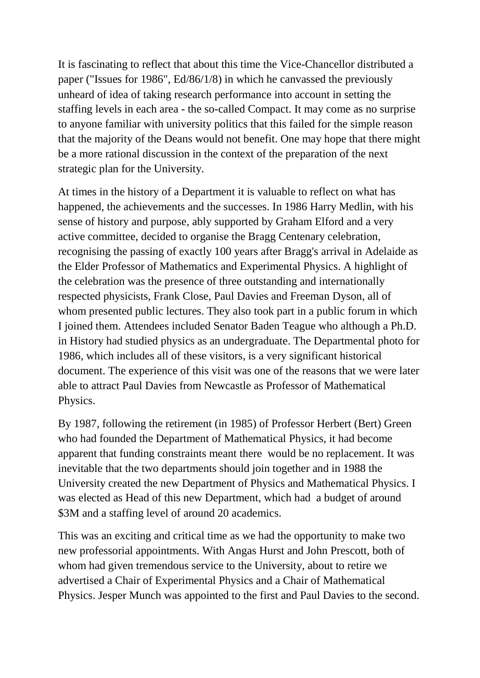It is fascinating to reflect that about this time the Vice-Chancellor distributed a paper ("Issues for 1986", Ed/86/1/8) in which he canvassed the previously unheard of idea of taking research performance into account in setting the staffing levels in each area - the so-called Compact. It may come as no surprise to anyone familiar with university politics that this failed for the simple reason that the majority of the Deans would not benefit. One may hope that there might be a more rational discussion in the context of the preparation of the next strategic plan for the University.

At times in the history of a Department it is valuable to reflect on what has happened, the achievements and the successes. In 1986 Harry Medlin, with his sense of history and purpose, ably supported by Graham Elford and a very active committee, decided to organise the Bragg Centenary celebration, recognising the passing of exactly 100 years after Bragg's arrival in Adelaide as the Elder Professor of Mathematics and Experimental Physics. A highlight of the celebration was the presence of three outstanding and internationally respected physicists, Frank Close, Paul Davies and Freeman Dyson, all of whom presented public lectures. They also took part in a public forum in which I joined them. Attendees included Senator Baden Teague who although a Ph.D. in History had studied physics as an undergraduate. The Departmental photo for 1986, which includes all of these visitors, is a very significant historical document. The experience of this visit was one of the reasons that we were later able to attract Paul Davies from Newcastle as Professor of Mathematical Physics.

By 1987, following the retirement (in 1985) of Professor Herbert (Bert) Green who had founded the Department of Mathematical Physics, it had become apparent that funding constraints meant there would be no replacement. It was inevitable that the two departments should join together and in 1988 the University created the new Department of Physics and Mathematical Physics. I was elected as Head of this new Department, which had a budget of around \$3M and a staffing level of around 20 academics.

This was an exciting and critical time as we had the opportunity to make two new professorial appointments. With Angas Hurst and John Prescott, both of whom had given tremendous service to the University, about to retire we advertised a Chair of Experimental Physics and a Chair of Mathematical Physics. Jesper Munch was appointed to the first and Paul Davies to the second.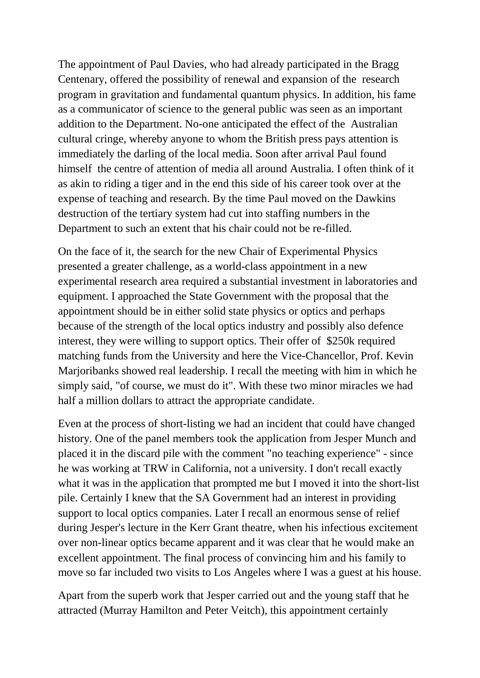The appointment of Paul Davies, who had already participated in the Bragg Centenary, offered the possibility of renewal and expansion of the research program in gravitation and fundamental quantum physics. In addition, his fame as a communicator of science to the general public was seen as an important addition to the Department. No-one anticipated the effect of the Australian cultural cringe, whereby anyone to whom the British press pays attention is immediately the darling of the local media. Soon after arrival Paul found himself the centre of attention of media all around Australia. I often think of it as akin to riding a tiger and in the end this side of his career took over at the expense of teaching and research. By the time Paul moved on the Dawkins destruction of the tertiary system had cut into staffing numbers in the Department to such an extent that his chair could not be re-filled.

On the face of it, the search for the new Chair of Experimental Physics presented a greater challenge, as a world-class appointment in a new experimental research area required a substantial investment in laboratories and equipment. I approached the State Government with the proposal that the appointment should be in either solid state physics or optics and perhaps because of the strength of the local optics industry and possibly also defence interest, they were willing to support optics. Their offer of \$250k required matching funds from the University and here the Vice-Chancellor, Prof. Kevin Marjoribanks showed real leadership. I recall the meeting with him in which he simply said, "of course, we must do it". With these two minor miracles we had half a million dollars to attract the appropriate candidate.

Even at the process of short-listing we had an incident that could have changed history. One of the panel members took the application from Jesper Munch and placed it in the discard pile with the comment "no teaching experience" - since he was working at TRW in California, not a university. I don't recall exactly what it was in the application that prompted me but I moved it into the short-list pile. Certainly I knew that the SA Government had an interest in providing support to local optics companies. Later I recall an enormous sense of relief during Jesper's lecture in the Kerr Grant theatre, when his infectious excitement over non-linear optics became apparent and it was clear that he would make an excellent appointment. The final process of convincing him and his family to move so far included two visits to Los Angeles where I was a guest at his house.

Apart from the superb work that Jesper carried out and the young staff that he attracted (Murray Hamilton and Peter Veitch), this appointment certainly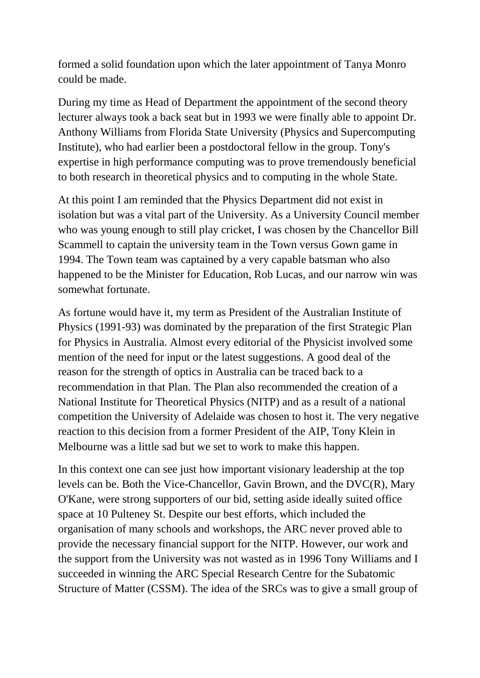formed a solid foundation upon which the later appointment of Tanya Monro could be made.

During my time as Head of Department the appointment of the second theory lecturer always took a back seat but in 1993 we were finally able to appoint Dr. Anthony Williams from Florida State University (Physics and Supercomputing Institute), who had earlier been a postdoctoral fellow in the group. Tony's expertise in high performance computing was to prove tremendously beneficial to both research in theoretical physics and to computing in the whole State.

At this point I am reminded that the Physics Department did not exist in isolation but was a vital part of the University. As a University Council member who was young enough to still play cricket, I was chosen by the Chancellor Bill Scammell to captain the university team in the Town versus Gown game in 1994. The Town team was captained by a very capable batsman who also happened to be the Minister for Education, Rob Lucas, and our narrow win was somewhat fortunate.

As fortune would have it, my term as President of the Australian Institute of Physics (1991-93) was dominated by the preparation of the first Strategic Plan for Physics in Australia. Almost every editorial of the Physicist involved some mention of the need for input or the latest suggestions. A good deal of the reason for the strength of optics in Australia can be traced back to a recommendation in that Plan. The Plan also recommended the creation of a National Institute for Theoretical Physics (NITP) and as a result of a national competition the University of Adelaide was chosen to host it. The very negative reaction to this decision from a former President of the AIP, Tony Klein in Melbourne was a little sad but we set to work to make this happen.

In this context one can see just how important visionary leadership at the top levels can be. Both the Vice-Chancellor, Gavin Brown, and the DVC(R), Mary O'Kane, were strong supporters of our bid, setting aside ideally suited office space at 10 Pulteney St. Despite our best efforts, which included the organisation of many schools and workshops, the ARC never proved able to provide the necessary financial support for the NITP. However, our work and the support from the University was not wasted as in 1996 Tony Williams and I succeeded in winning the ARC Special Research Centre for the Subatomic Structure of Matter (CSSM). The idea of the SRCs was to give a small group of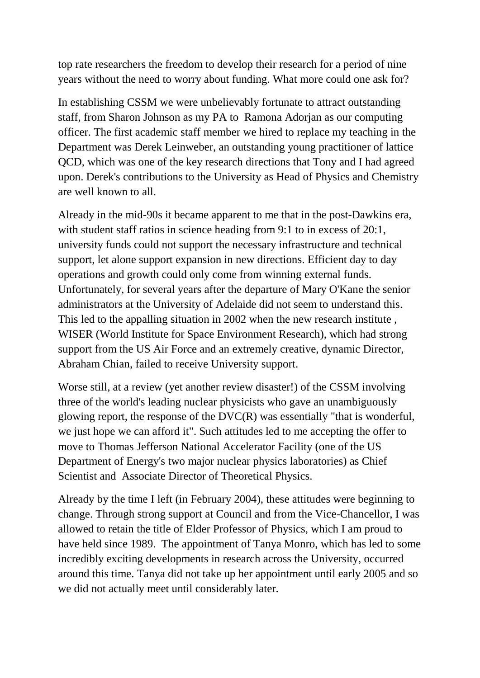top rate researchers the freedom to develop their research for a period of nine years without the need to worry about funding. What more could one ask for?

In establishing CSSM we were unbelievably fortunate to attract outstanding staff, from Sharon Johnson as my PA to Ramona Adorjan as our computing officer. The first academic staff member we hired to replace my teaching in the Department was Derek Leinweber, an outstanding young practitioner of lattice QCD, which was one of the key research directions that Tony and I had agreed upon. Derek's contributions to the University as Head of Physics and Chemistry are well known to all.

Already in the mid-90s it became apparent to me that in the post-Dawkins era, with student staff ratios in science heading from 9:1 to in excess of 20:1, university funds could not support the necessary infrastructure and technical support, let alone support expansion in new directions. Efficient day to day operations and growth could only come from winning external funds. Unfortunately, for several years after the departure of Mary O'Kane the senior administrators at the University of Adelaide did not seem to understand this. This led to the appalling situation in 2002 when the new research institute , WISER (World Institute for Space Environment Research), which had strong support from the US Air Force and an extremely creative, dynamic Director, Abraham Chian, failed to receive University support.

Worse still, at a review (yet another review disaster!) of the CSSM involving three of the world's leading nuclear physicists who gave an unambiguously glowing report, the response of the DVC(R) was essentially "that is wonderful, we just hope we can afford it". Such attitudes led to me accepting the offer to move to Thomas Jefferson National Accelerator Facility (one of the US Department of Energy's two major nuclear physics laboratories) as Chief Scientist and Associate Director of Theoretical Physics.

Already by the time I left (in February 2004), these attitudes were beginning to change. Through strong support at Council and from the Vice-Chancellor, I was allowed to retain the title of Elder Professor of Physics, which I am proud to have held since 1989. The appointment of Tanya Monro, which has led to some incredibly exciting developments in research across the University, occurred around this time. Tanya did not take up her appointment until early 2005 and so we did not actually meet until considerably later.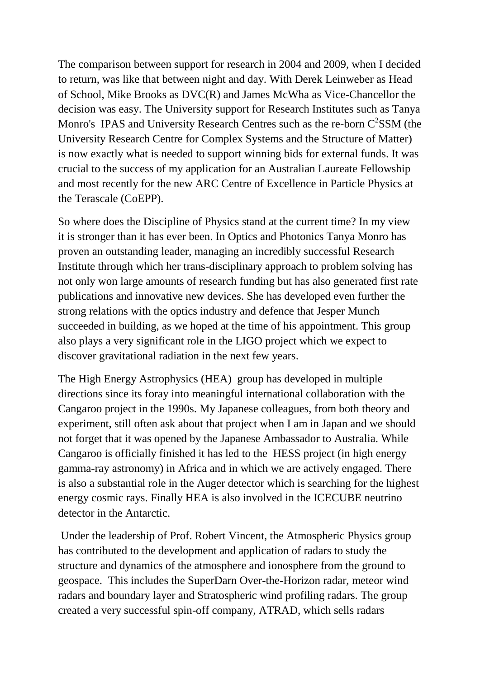The comparison between support for research in 2004 and 2009, when I decided to return, was like that between night and day. With Derek Leinweber as Head of School, Mike Brooks as DVC(R) and James McWha as Vice-Chancellor the decision was easy. The University support for Research Institutes such as Tanya Monro's IPAS and University Research Centres such as the re-born  $C^2SSM$  (the University Research Centre for Complex Systems and the Structure of Matter) is now exactly what is needed to support winning bids for external funds. It was crucial to the success of my application for an Australian Laureate Fellowship and most recently for the new ARC Centre of Excellence in Particle Physics at the Terascale (CoEPP).

So where does the Discipline of Physics stand at the current time? In my view it is stronger than it has ever been. In Optics and Photonics Tanya Monro has proven an outstanding leader, managing an incredibly successful Research Institute through which her trans-disciplinary approach to problem solving has not only won large amounts of research funding but has also generated first rate publications and innovative new devices. She has developed even further the strong relations with the optics industry and defence that Jesper Munch succeeded in building, as we hoped at the time of his appointment. This group also plays a very significant role in the LIGO project which we expect to discover gravitational radiation in the next few years.

The High Energy Astrophysics (HEA) group has developed in multiple directions since its foray into meaningful international collaboration with the Cangaroo project in the 1990s. My Japanese colleagues, from both theory and experiment, still often ask about that project when I am in Japan and we should not forget that it was opened by the Japanese Ambassador to Australia. While Cangaroo is officially finished it has led to the HESS project (in high energy gamma-ray astronomy) in Africa and in which we are actively engaged. There is also a substantial role in the Auger detector which is searching for the highest energy cosmic rays. Finally HEA is also involved in the ICECUBE neutrino detector in the Antarctic.

Under the leadership of Prof. Robert Vincent, the Atmospheric Physics group has contributed to the development and application of radars to study the structure and dynamics of the atmosphere and ionosphere from the ground to geospace. This includes the SuperDarn Over-the-Horizon radar, meteor wind radars and boundary layer and Stratospheric wind profiling radars. The group created a very successful spin-off company, ATRAD, which sells radars